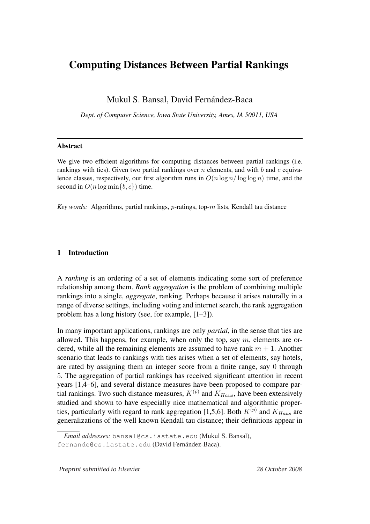# Computing Distances Between Partial Rankings

Mukul S. Bansal, David Fernández-Baca

*Dept. of Computer Science, Iowa State University, Ames, IA 50011, USA*

### Abstract

We give two efficient algorithms for computing distances between partial rankings (i.e. rankings with ties). Given two partial rankings over  $n$  elements, and with  $b$  and  $c$  equivalence classes, respectively, our first algorithm runs in  $O(n \log n / \log \log n)$  time, and the second in  $O(n \log \min\{b, c\})$  time.

*Key words:* Algorithms, partial rankings, p-ratings, top-m lists, Kendall tau distance

# 1 Introduction

A *ranking* is an ordering of a set of elements indicating some sort of preference relationship among them. *Rank aggregation* is the problem of combining multiple rankings into a single, *aggregate*, ranking. Perhaps because it arises naturally in a range of diverse settings, including voting and internet search, the rank aggregation problem has a long history (see, for example, [1–3]).

In many important applications, rankings are only *partial*, in the sense that ties are allowed. This happens, for example, when only the top, say  $m$ , elements are ordered, while all the remaining elements are assumed to have rank  $m + 1$ . Another scenario that leads to rankings with ties arises when a set of elements, say hotels, are rated by assigning them an integer score from a finite range, say 0 through 5. The aggregation of partial rankings has received significant attention in recent years [1,4–6], and several distance measures have been proposed to compare partial rankings. Two such distance measures,  $K^{(p)}$  and  $K_{Haus}$ , have been extensively studied and shown to have especially nice mathematical and algorithmic properties, particularly with regard to rank aggregation [1,5,6]. Both  $K^{(p)}$  and  $K_{Haus}$  are generalizations of the well known Kendall tau distance; their definitions appear in

*Email addresses:* bansal@cs.iastate.edu (Mukul S. Bansal), fernande@cs.iastate.edu (David Fernández-Baca).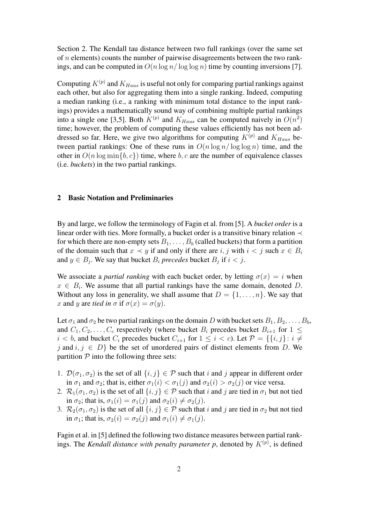Section 2. The Kendall tau distance between two full rankings (over the same set of  $n$  elements) counts the number of pairwise disagreements between the two rankings, and can be computed in  $O(n \log n / \log \log n)$  time by counting inversions [7].

Computing  $K^{(p)}$  and  $K_{Haus}$  is useful not only for comparing partial rankings against each other, but also for aggregating them into a single ranking. Indeed, computing a median ranking (i.e., a ranking with minimum total distance to the input rankings) provides a mathematically sound way of combining multiple partial rankings into a single one [3,5]. Both  $K^{(p)}$  and  $K_{Haus}$  can be computed naively in  $O(n^2)$ time; however, the problem of computing these values efficiently has not been addressed so far. Here, we give two algorithms for computing  $K^{(p)}$  and  $K_{Haus}$  between partial rankings: One of these runs in  $O(n \log n / \log \log n)$  time, and the other in  $O(n \log \min\{b, c\})$  time, where b, c are the number of equivalence classes (i.e. *buckets*) in the two partial rankings.

## 2 Basic Notation and Preliminaries

By and large, we follow the terminology of Fagin et al. from [5]. A *bucket order* is a linear order with ties. More formally, a bucket order is a transitive binary relation  $\prec$ for which there are non-empty sets  $B_1, \ldots, B_b$  (called buckets) that form a partition of the domain such that  $x \prec y$  if and only if there are i, j with  $i < j$  such  $x \in B_i$ and  $y \in B_j$ . We say that bucket  $B_i$  *precedes* bucket  $B_j$  if  $i < j$ .

We associate a *partial ranking* with each bucket order, by letting  $\sigma(x) = i$  when  $x \in B_i$ . We assume that all partial rankings have the same domain, denoted D. Without any loss in generality, we shall assume that  $D = \{1, \ldots, n\}$ . We say that x and y are *tied in*  $\sigma$  if  $\sigma(x) = \sigma(y)$ .

Let  $\sigma_1$  and  $\sigma_2$  be two partial rankings on the domain D with bucket sets  $B_1, B_2, \ldots, B_b$ , and  $C_1, C_2, \ldots, C_c$  respectively (where bucket  $B_i$  precedes bucket  $B_{i+1}$  for  $1 \leq$  $i < b$ , and bucket  $C_i$  precedes bucket  $C_{i+1}$  for  $1 \leq i < c$ ). Let  $\mathcal{P} = \{\{i, j\} : i \neq j\}$ j and  $i, j \in D$  be the set of unordered pairs of distinct elements from D. We partition  $P$  into the following three sets:

- 1.  $\mathcal{D}(\sigma_1, \sigma_2)$  is the set of all  $\{i, j\} \in \mathcal{P}$  such that i and j appear in different order in  $\sigma_1$  and  $\sigma_2$ ; that is, either  $\sigma_1(i) < \sigma_1(j)$  and  $\sigma_2(i) > \sigma_2(j)$  or vice versa.
- 2.  $\mathcal{R}_1(\sigma_1, \sigma_2)$  is the set of all  $\{i, j\} \in \mathcal{P}$  such that i and j are tied in  $\sigma_1$  but not tied in  $\sigma_2$ ; that is,  $\sigma_1(i) = \sigma_1(j)$  and  $\sigma_2(i) \neq \sigma_2(j)$ .
- 3.  $\mathcal{R}_2(\sigma_1, \sigma_2)$  is the set of all  $\{i, j\} \in \mathcal{P}$  such that i and j are tied in  $\sigma_2$  but not tied in  $\sigma_1$ ; that is,  $\sigma_2(i) = \sigma_2(j)$  and  $\sigma_1(i) \neq \sigma_1(j)$ .

Fagin et al. in [5] defined the following two distance measures between partial rankings. The *Kendall distance with penalty parameter p*, denoted by  $K^{(p)}$ , is defined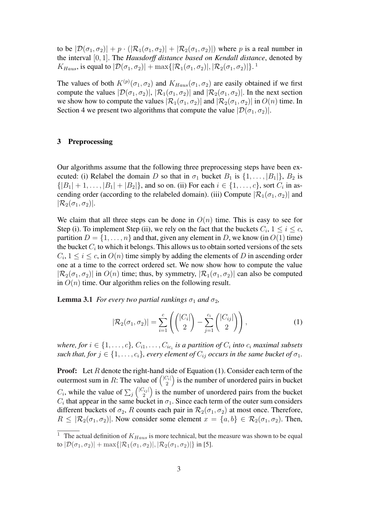to be  $|\mathcal{D}(\sigma_1,\sigma_2)| + p \cdot (|\mathcal{R}_1(\sigma_1,\sigma_2)| + |\mathcal{R}_2(\sigma_1,\sigma_2)|)$  where p is a real number in the interval [0, 1]. The *Hausdorff distance based on Kendall distance*, denoted by  $K_{Haus}$ , is equal to  $|\mathcal{D}(\sigma_1, \sigma_2)| + \max\{|\mathcal{R}_1(\sigma_1, \sigma_2)|, |\mathcal{R}_2(\sigma_1, \sigma_2)|\}.$ <sup>1</sup>

The values of both  $K^{(p)}(\sigma_1, \sigma_2)$  and  $K_{Haus}(\sigma_1, \sigma_2)$  are easily obtained if we first compute the values  $|\mathcal{D}(\sigma_1, \sigma_2)|$ ,  $|\mathcal{R}_1(\sigma_1, \sigma_2)|$  and  $|\mathcal{R}_2(\sigma_1, \sigma_2)|$ . In the next section we show how to compute the values  $|\mathcal{R}_1(\sigma_1, \sigma_2)|$  and  $|\mathcal{R}_2(\sigma_1, \sigma_2)|$  in  $O(n)$  time. In Section 4 we present two algorithms that compute the value  $|\mathcal{D}(\sigma_1, \sigma_2)|$ .

## 3 Preprocessing

Our algorithms assume that the following three preprocessing steps have been executed: (i) Relabel the domain D so that in  $\sigma_1$  bucket  $B_1$  is  $\{1, \ldots, |B_1|\}$ ,  $B_2$  is  $\{|B_1| + 1, \ldots, |B_1| + |B_2|\}$ , and so on. (ii) For each  $i \in \{1, \ldots, c\}$ , sort  $C_i$  in ascending order (according to the relabeled domain). (iii) Compute  $|\mathcal{R}_1(\sigma_1, \sigma_2)|$  and  $|\mathcal{R}_2(\sigma_1, \sigma_2)|$ .

We claim that all three steps can be done in  $O(n)$  time. This is easy to see for Step (i). To implement Step (ii), we rely on the fact that the buckets  $C_i$ ,  $1 \le i \le c$ , partition  $D = \{1, \ldots, n\}$  and that, given any element in D, we know (in  $O(1)$  time) the bucket  $C_i$  to which it belongs. This allows us to obtain sorted versions of the sets  $C_i$ ,  $1 \le i \le c$ , in  $O(n)$  time simply by adding the elements of D in ascending order one at a time to the correct ordered set. We now show how to compute the value  $|\mathcal{R}_2(\sigma_1, \sigma_2)|$  in  $O(n)$  time; thus, by symmetry,  $|\mathcal{R}_1(\sigma_1, \sigma_2)|$  can also be computed in  $O(n)$  time. Our algorithm relies on the following result.

**Lemma 3.1** *For every two partial rankings*  $\sigma_1$  *and*  $\sigma_2$ *,* 

$$
|\mathcal{R}_2(\sigma_1, \sigma_2)| = \sum_{i=1}^c \left( \binom{|C_i|}{2} - \sum_{j=1}^{c_i} \binom{|C_{ij}|}{2} \right),\tag{1}
$$

where, for  $i \in \{1, \ldots, c\}$ ,  $C_{i1}, \ldots, C_{ic_i}$  is a partition of  $C_i$  into  $c_i$  maximal subsets *such that, for*  $j \in \{1, \ldots, c_i\}$ , every element of  $C_{ij}$  occurs in the same bucket of  $\sigma_1$ .

**Proof:** Let R denote the right-hand side of Equation (1). Consider each term of the **Proof:** Let A defibe the right-nand site<br>outermost sum in R: The value of  $\begin{pmatrix} |C_i| \end{pmatrix}$ value of  $\binom{|C_i|}{2}$  is the number of unordered pairs in bucket  $C_i$ , while the value of  $\sum_j {\binom{|C_{ij}|}{2}}$  $\binom{\lambda_{ij}}{2}$  is the number of unordered pairs from the bucket  $C_i$  that appear in the same bucket in  $\sigma_1$ . Since each term of the outer sum considers different buckets of  $\sigma_2$ , R counts each pair in  $\mathcal{R}_2(\sigma_1, \sigma_2)$  at most once. Therefore,  $R \leq |\mathcal{R}_2(\sigma_1, \sigma_2)|$ . Now consider some element  $x = \{a, b\} \in \mathcal{R}_2(\sigma_1, \sigma_2)$ . Then,

<sup>&</sup>lt;sup>1</sup> The actual definition of  $K_{Haus}$  is more technical, but the measure was shown to be equal to  $|\mathcal{D}(\sigma_1, \sigma_2)|$  + max $\{|\mathcal{R}_1(\sigma_1, \sigma_2)|, |\mathcal{R}_2(\sigma_1, \sigma_2)|\}$  in [5].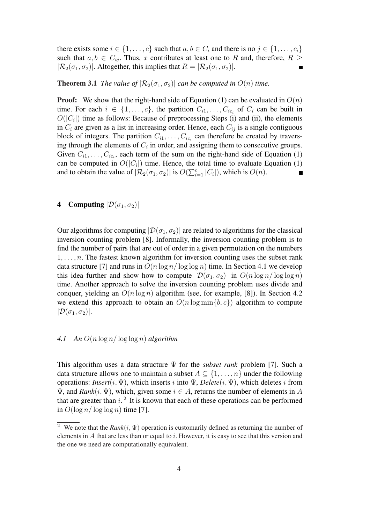there exists some  $i \in \{1, \ldots, c\}$  such that  $a, b \in C_i$  and there is no  $j \in \{1, \ldots, c_i\}$ such that  $a, b \in C_{ij}$ . Thus, x contributes at least one to R and, therefore,  $R \geq$  $|\mathcal{R}_2(\sigma_1, \sigma_2)|$ . Altogether, this implies that  $R = |\mathcal{R}_2(\sigma_1, \sigma_2)|$ .

### **Theorem 3.1** *The value of*  $\left[\mathcal{R}_2(\sigma_1, \sigma_2)\right]$  *can be computed in*  $O(n)$  *time.*

**Proof:** We show that the right-hand side of Equation (1) can be evaluated in  $O(n)$ time. For each  $i \in \{1, \ldots, c\}$ , the partition  $C_{i1}, \ldots, C_{ic_i}$  of  $C_i$  can be built in  $O(|C_i|)$  time as follows: Because of preprocessing Steps (i) and (ii), the elements in  $C_i$  are given as a list in increasing order. Hence, each  $C_{ij}$  is a single contiguous block of integers. The partition  $C_{i1}, \ldots, C_{ic_i}$  can therefore be created by traversing through the elements of  $C_i$  in order, and assigning them to consecutive groups. Given  $C_{i1}, \ldots, C_{i c_i}$ , each term of the sum on the right-hand side of Equation (1) can be computed in  $O(|C_i|)$  time. Hence, the total time to evaluate Equation (1) and to obtain the value of  $|\mathcal{R}_2(\sigma_1, \sigma_2)|$  is  $O(\sum_{i=1}^n |C_i|)$ , which is  $O(n)$ .

# 4 Computing  $|\mathcal{D}(\sigma_1, \sigma_2)|$

Our algorithms for computing  $|\mathcal{D}(\sigma_1, \sigma_2)|$  are related to algorithms for the classical inversion counting problem [8]. Informally, the inversion counting problem is to find the number of pairs that are out of order in a given permutation on the numbers  $1, \ldots, n$ . The fastest known algorithm for inversion counting uses the subset rank data structure [7] and runs in  $O(n \log n / \log \log n)$  time. In Section 4.1 we develop this idea further and show how to compute  $|\mathcal{D}(\sigma_1, \sigma_2)|$  in  $O(n \log n / \log \log n)$ time. Another approach to solve the inversion counting problem uses divide and conquer, yielding an  $O(n \log n)$  algorithm (see, for example, [8]). In Section 4.2 we extend this approach to obtain an  $O(n \log \min\{b, c\})$  algorithm to compute  $|\mathcal{D}(\sigma_1, \sigma_2)|.$ 

## *4.1 An* O(n log n/ log log n) *algorithm*

This algorithm uses a data structure Ψ for the *subset rank* problem [7]. Such a data structure allows one to maintain a subset  $A \subseteq \{1, \ldots, n\}$  under the following operations: *Insert*(i,  $\Psi$ ), which inserts i into  $\Psi$ , *Delete*(i,  $\Psi$ ), which deletes i from  $\Psi$ , and *Rank* $(i, \Psi)$ , which, given some  $i \in A$ , returns the number of elements in A that are greater than  $i$ .<sup>2</sup> It is known that each of these operations can be performed in  $O(\log n / \log \log n)$  time [7].

<sup>&</sup>lt;sup>2</sup> We note that the  $Rank(i, \Psi)$  operation is customarily defined as returning the number of elements in  $A$  that are less than or equal to i. However, it is easy to see that this version and the one we need are computationally equivalent.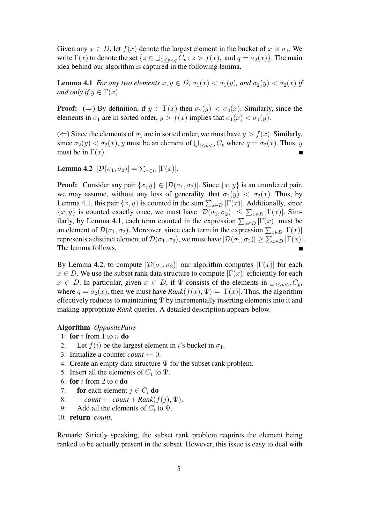Given any  $x \in D$ , let  $f(x)$  denote the largest element in the bucket of x in  $\sigma_1$ . We write  $\Gamma(x)$  to denote the set  $\{z \in \bigcup_{1 \le p < q} C_p : z > f(x)$ , and  $q = \sigma_2(x)\}$ . The main idea behind our algorithm is captured in the following lemma.

**Lemma 4.1** *For any two elements*  $x, y \in D$ ,  $\sigma_1(x) < \sigma_1(y)$ , and  $\sigma_2(y) < \sigma_2(x)$  if *and only if*  $y \in \Gamma(x)$ *.* 

**Proof:** ( $\Rightarrow$ ) By definition, if  $y \in \Gamma(x)$  then  $\sigma_2(y) < \sigma_2(x)$ . Similarly, since the elements in  $\sigma_1$  are in sorted order,  $y > f(x)$  implies that  $\sigma_1(x) < \sigma_1(y)$ .

( $\Leftarrow$ ) Since the elements of  $\sigma_1$  are in sorted order, we must have  $y > f(x)$ . Similarly, since  $\sigma_2(y) < \sigma_2(x)$ , y must be an element of  $\bigcup_{1 \le p < q} C_p$  where  $q = \sigma_2(x)$ . Thus, y must be in  $\Gamma(x)$ .

**Lemma 4.2**  $|\mathcal{D}(\sigma_1, \sigma_2)| = \sum_{x \in D} |\Gamma(x)|$ .

**Proof:** Consider any pair  $\{x, y\} \in [D(\sigma_1, \sigma_2)]$ . Since  $\{x, y\}$  is an unordered pair, we may assume, without any loss of generality, that  $\sigma_2(y) < \sigma_2(x)$ . Thus, by Lemma 4.1, this pair  $\{x, y\}$  is counted in the sum  $\sum_{x \in D} |\Gamma(x)|$ . Additionally, since Lemma 1.1, ans pan [x, y] is counted in the sum  $\sum_{x\in D} |F(x)|$ . Additionary, since  $\{x, y\}$  is counted exactly once, we must have  $|\mathcal{D}(\sigma_1, \sigma_2)| \leq \sum_{x\in D} |\Gamma(x)|$ . Sim-(x, y) is counted extern between the expression  $\sum_{x \in D} |\Gamma(x)|$  must be identify, by Lemma 4.1, each term counted in the expression  $\sum_{x \in D} |\Gamma(x)|$  must be an element of  $\mathcal{D}(\sigma_1, \sigma_2)$ . Moreover, since each term in the expression  $\sum_{x \in D} |\Gamma(x)|$ represents a distinct element of  $\mathcal{D}(\sigma_1, \sigma_2)$ , we must have  $|\mathcal{D}(\sigma_1, \sigma_2)| \geq \sum_{x \in D} |\Gamma(x)|$ . The lemma follows.

By Lemma 4.2, to compute  $|\mathcal{D}(\sigma_1, \sigma_2)|$  our algorithm computes  $|\Gamma(x)|$  for each  $x \in D$ . We use the subset rank data structure to compute  $|\Gamma(x)|$  efficiently for each  $x \in D$ . In particular, given  $x \in D$ , if  $\Psi$  consists of the elements in  $\bigcup_{1 \le p \le q} C_p$ , where  $q = \sigma_2(x)$ , then we must have  $Rank(f(x), \Psi) = |\Gamma(x)|$ . Thus, the algorithm effectively reduces to maintaining  $\Psi$  by incrementally inserting elements into it and making appropriate *Rank* queries. A detailed description appears below.

## Algorithm *OppositePairs*

- 1: for  $i$  from 1 to  $n$  do
- 2: Let  $f(i)$  be the largest element in i's bucket in  $\sigma_1$ .
- 3: Initialize a counter *count*  $\leftarrow 0$ .
- 4: Create an empty data structure  $\Psi$  for the subset rank problem.
- 5: Insert all the elements of  $C_1$  to  $\Psi$ .
- 6: for  $i$  from 2 to  $c$  do
- 7: for each element  $j \in C_i$  do
- 8:  $count \leftarrow count + Rank(f(j), \Psi).$
- 9: Add all the elements of  $C_i$  to  $\Psi$ .
- 10: return *count*.

Remark: Strictly speaking, the subset rank problem requires the element being ranked to be actually present in the subset. However, this issue is easy to deal with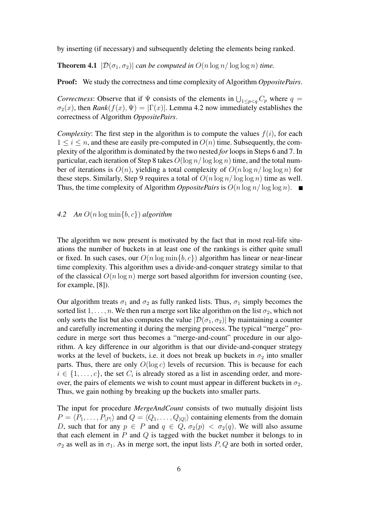by inserting (if necessary) and subsequently deleting the elements being ranked.

**Theorem 4.1**  $|\mathcal{D}(\sigma_1, \sigma_2)|$  *can be computed in*  $O(n \log n / \log \log n)$  *time.* 

Proof: We study the correctness and time complexity of Algorithm *OppositePairs*.

*Correctness*: Observe that if  $\Psi$  consists of the elements in  $\bigcup_{1 \le p < q} C_p$  where  $q =$  $\sigma_2(x)$ , then *Rank*( $f(x)$ ,  $\Psi$ ) =  $|\Gamma(x)|$ . Lemma 4.2 now immediately establishes the correctness of Algorithm *OppositePairs*.

*Complexity:* The first step in the algorithm is to compute the values  $f(i)$ , for each  $1 \leq i \leq n$ , and these are easily pre-computed in  $O(n)$  time. Subsequently, the complexity of the algorithm is dominated by the two nested *for* loops in Steps 6 and 7. In particular, each iteration of Step 8 takes  $O(\log n / \log \log n)$  time, and the total number of iterations is  $O(n)$ , yielding a total complexity of  $O(n \log n / \log \log n)$  for these steps. Similarly, Step 9 requires a total of  $O(n \log n / \log \log n)$  time as well. Thus, the time complexity of Algorithm *OppositePairs* is  $O(n \log n / \log \log n)$ .

# *4.2 An* O(n log min{b, c}) *algorithm*

The algorithm we now present is motivated by the fact that in most real-life situations the number of buckets in at least one of the rankings is either quite small or fixed. In such cases, our  $O(n \log \min\{b, c\})$  algorithm has linear or near-linear time complexity. This algorithm uses a divide-and-conquer strategy similar to that of the classical  $O(n \log n)$  merge sort based algorithm for inversion counting (see, for example, [8]).

Our algorithm treats  $\sigma_1$  and  $\sigma_2$  as fully ranked lists. Thus,  $\sigma_1$  simply becomes the sorted list  $1, \ldots, n$ . We then run a merge sort like algorithm on the list  $\sigma_2$ , which not only sorts the list but also computes the value  $|\mathcal{D}(\sigma_1, \sigma_2)|$  by maintaining a counter and carefully incrementing it during the merging process. The typical "merge" procedure in merge sort thus becomes a "merge-and-count" procedure in our algorithm. A key difference in our algorithm is that our divide-and-conquer strategy works at the level of buckets, i.e. it does not break up buckets in  $\sigma_2$  into smaller parts. Thus, there are only  $O(\log c)$  levels of recursion. This is because for each  $i \in \{1, \ldots, c\}$ , the set  $C_i$  is already stored as a list in ascending order, and moreover, the pairs of elements we wish to count must appear in different buckets in  $\sigma_2$ . Thus, we gain nothing by breaking up the buckets into smaller parts.

The input for procedure *MergeAndCount* consists of two mutually disjoint lists  $P = \langle P_1, \ldots, P_{|P|} \rangle$  and  $Q = \langle Q_1, \ldots, Q_{|Q|} \rangle$  containing elements from the domain D, such that for any  $p \in P$  and  $q \in Q$ ,  $\sigma_2(p) < \sigma_2(q)$ . We will also assume that each element in  $P$  and  $Q$  is tagged with the bucket number it belongs to in  $\sigma_2$  as well as in  $\sigma_1$ . As in merge sort, the input lists P, Q are both in sorted order,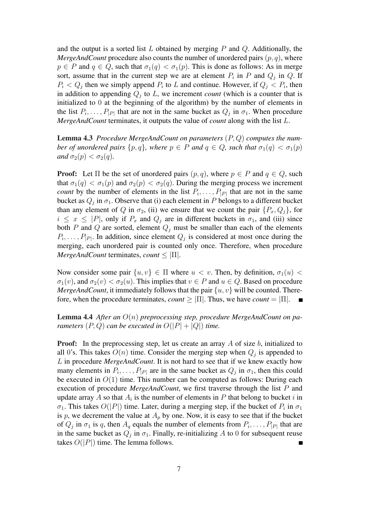and the output is a sorted list L obtained by merging P and  $Q$ . Additionally, the *MergeAndCount* procedure also counts the number of unordered pairs  $(p, q)$ , where  $p \in P$  and  $q \in Q$ , such that  $\sigma_1(q) < \sigma_1(p)$ . This is done as follows: As in merge sort, assume that in the current step we are at element  $P_i$  in P and  $Q_j$  in Q. If  $P_i < Q_j$  then we simply append  $P_i$  to L and continue. However, if  $Q_j < P_i$ , then in addition to appending  $Q_j$  to  $L$ , we increment *count* (which is a counter that is initialized to 0 at the beginning of the algorithm) by the number of elements in the list  $P_i, \ldots, P_{|P|}$  that are not in the same bucket as  $Q_j$  in  $\sigma_1$ . When procedure *MergeAndCount* terminates, it outputs the value of *count* along with the list L.

Lemma 4.3 *Procedure MergeAndCount on parameters* (P, Q) *computes the number of unordered pairs*  $\{p, q\}$ *, where*  $p \in P$  *and*  $q \in Q$ *, such that*  $\sigma_1(q) < \sigma_1(p)$ *and*  $\sigma_2(p) < \sigma_2(q)$ *.* 

**Proof:** Let  $\Pi$  be the set of unordered pairs  $(p, q)$ , where  $p \in P$  and  $q \in Q$ , such that  $\sigma_1(q) < \sigma_1(p)$  and  $\sigma_2(p) < \sigma_2(q)$ . During the merging process we increment *count* by the number of elements in the list  $P_i, \ldots, P_{|P|}$  that are not in the same bucket as  $Q_j$  in  $\sigma_1$ . Observe that (i) each element in P belongs to a different bucket than any element of Q in  $\sigma_2$ , (ii) we ensure that we count the pair  $\{P_x, Q_i\}$ , for  $i \leq x \leq |P|$ , only if  $P_x$  and  $Q_i$  are in different buckets in  $\sigma_1$ , and (iii) since both P and Q are sorted, element  $Q_i$  must be smaller than each of the elements  $P_i, \ldots, P_{|P|}$ . In addition, since element  $Q_j$  is considered at most once during the merging, each unordered pair is counted only once. Therefore, when procedure *MergeAndCount* terminates, *count*  $\leq |\Pi|$ .

Now consider some pair  $\{u, v\} \in \Pi$  where  $u < v$ . Then, by definition,  $\sigma_1(u)$  $\sigma_1(v)$ , and  $\sigma_2(v) < \sigma_2(u)$ . This implies that  $v \in P$  and  $u \in Q$ . Based on procedure *MergeAndCount*, it immediately follows that the pair  $\{u, v\}$  will be counted. Therefore, when the procedure terminates, *count*  $\geq |\Pi|$ . Thus, we have *count* =  $|\Pi|$ .

Lemma 4.4 *After an* O(n) *preprocessing step, procedure MergeAndCount on parameters*  $(P, Q)$  *can be executed in*  $O(|P| + |Q|)$  *time.* 

**Proof:** In the preprocessing step, let us create an array A of size b, initialized to all 0's. This takes  $O(n)$  time. Consider the merging step when  $Q_j$  is appended to L in procedure *MergeAndCount*. It is not hard to see that if we knew exactly how many elements in  $P_i, \ldots, P_{|P|}$  are in the same bucket as  $Q_j$  in  $\sigma_1$ , then this could be executed in  $O(1)$  time. This number can be computed as follows: During each execution of procedure *MergeAndCount*, we first traverse through the list P and update array A so that  $A_i$  is the number of elements in P that belong to bucket i in  $\sigma_1$ . This takes  $O(|P|)$  time. Later, during a merging step, if the bucket of  $P_i$  in  $\sigma_1$ is p, we decrement the value at  $A_p$  by one. Now, it is easy to see that if the bucket of  $Q_j$  in  $\sigma_1$  is q, then  $A_q$  equals the number of elements from  $P_i, \ldots, P_{|P|}$  that are in the same bucket as  $Q_j$  in  $\sigma_1$ . Finally, re-initializing A to 0 for subsequent reuse takes  $O(|P|)$  time. The lemma follows.